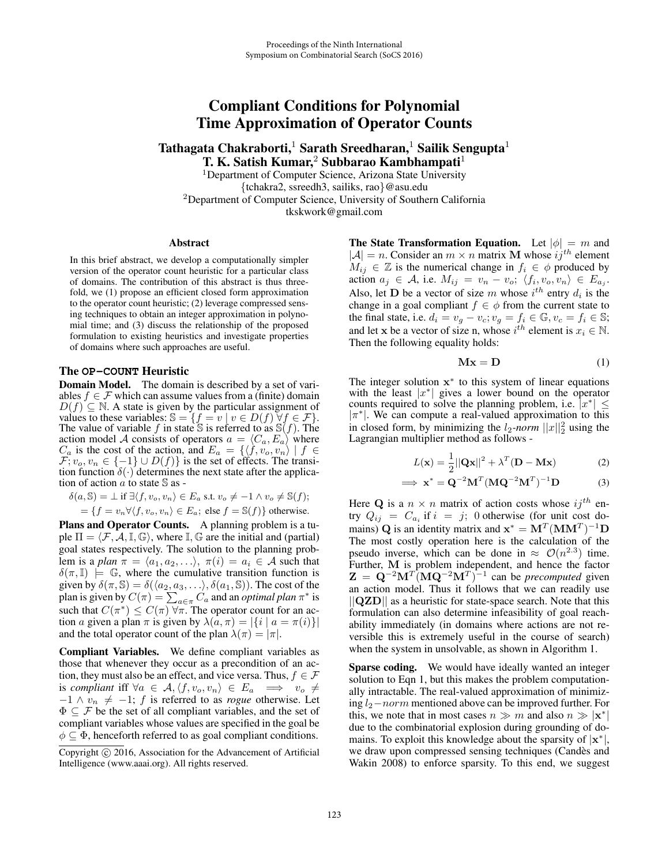# Compliant Conditions for Polynomial Time Approximation of Operator Counts

Tathagata Chakraborti,<sup>1</sup> Sarath Sreedharan,<sup>1</sup> Sailik Sengupta<sup>1</sup> T. K. Satish Kumar,<sup>2</sup> Subbarao Kambhampati<sup>1</sup>

<sup>1</sup>Department of Computer Science, Arizona State University {tchakra2, ssreedh3, sailiks, rao}@asu.edu <sup>2</sup>Department of Computer Science, University of Southern California tkskwork@gmail.com

### Abstract

In this brief abstract, we develop a computationally simpler version of the operator count heuristic for a particular class of domains. The contribution of this abstract is thus threefold, we (1) propose an efficient closed form approximation to the operator count heuristic; (2) leverage compressed sensing techniques to obtain an integer approximation in polynomial time; and (3) discuss the relationship of the proposed formulation to existing heuristics and investigate properties of domains where such approaches are useful.

### The **OP-COUNT** Heuristic

Domain Model. The domain is described by a set of variables  $f \in \mathcal{F}$  which can assume values from a (finite) domain  $D(f) \subseteq \mathbb{N}$ . A state is given by the particular assignment of values to these variables:  $\mathbb{S} = \{f = v \mid v \in D(f)\,\forall f \in \mathcal{F}\}.$  The value of variable f in state  $\mathbb{S}$  is referred to as  $\mathbb{S}(f)$ . The action model A consists of operators  $a = \langle C_a, E_a \rangle$  where  $C_a$  is the cost of the action, and  $E_a = \{ \langle f, v_o, v_n \rangle \mid f \in F, v_a, v_b \in \{-1\} \cup D(f) \}$  is the set of effects. The transi- $\mathcal{F}; v_o, v_n \in \{-1\} \cup D(f)\}$  is the set of effects. The transition function  $\delta(\cdot)$  determines the next state after the application of action  $\alpha$  to state  $\mathbb S$  as -

$$
\begin{aligned} \delta(a,\mathbb S) &= \bot \text{ if } \exists \langle f,v_o,v_n\rangle \in E_a \text{ s.t. } v_o\neq -1 \wedge v_o\neq \mathbb S(f); \\ &= \{f=v_n \forall \langle f,v_o,v_n\rangle \in E_a; \text{ else } f=\mathbb S(f)\} \text{ otherwise.}\end{aligned}
$$

Plans and Operator Counts. A planning problem is a tuple  $\Pi = \langle \mathcal{F}, \mathcal{A}, \mathbb{I}, \mathbb{G} \rangle$ , where  $\mathbb{I}, \mathbb{G}$  are the initial and (partial) goal states respectively. The solution to the planning problem is a *plan*  $\pi = \langle a_1, a_2, \ldots \rangle$ ,  $\pi(i) = a_i \in A$  such that  $\delta(\pi,\mathbb{I}) \models \mathbb{G}$ , where the cumulative transition function is given by  $\delta(\pi, \mathbb{S}) = \delta(\langle a_2, a_3, \dots \rangle, \delta(a_1, \mathbb{S})$ ). The cost of the plan is given by  $C(\pi) = \sum_{a \in \pi} C_a$  and an *optimal plan*  $\pi^*$  is such that  $C(\pi^*) \leq C(\pi) \forall \pi$ . The operator count for an action a given a plan  $\pi$  is given by  $\lambda(a, \pi) = |\{i \mid a = \pi(i)\}|$ and the total operator count of the plan  $\lambda(\pi) = |\pi|$ .

Compliant Variables. We define compliant variables as those that whenever they occur as a precondition of an action, they must also be an effect, and vice versa. Thus,  $f \in \mathcal{F}$ is *compliant* iff  $\forall a \in A, \langle f, v_o, v_n \rangle \in E_a \implies v_o \neq 1$ ,  $\land v_i \neq 1$ ,  $f$  is referred to as requesible thermise.  $-1 \wedge v_n \neq -1$ ; f is referred to as *rogue* otherwise. Let  $\Phi \subset \mathcal{F}$  be the set of all complient variables, and the set of  $\Phi \subset \mathcal{F}$  be the set of all compliant variables, and the set of compliant variables whose values are specified in the goal be  $\phi \subset \Phi$ , henceforth referred to as goal compliant conditions.

The State Transformation Equation. Let  $|\phi| = m$  and  $|A| = n$ . Consider an  $m \times n$  matrix **M** whose  $ij^{th}$  element  $M_{ij} \in \mathbb{Z}$  is the numerical change in  $f_i \in \phi$  produced by<br>action  $g_i \in A$  i.e.  $M_{ii} = v_i - v_i / f_i$ ,  $v_i, v_j \in F$ action  $a_j \in \mathcal{A}$ , i.e.  $M_{ij} = v_n - v_o; \ \langle f_i, v_o, v_n \rangle \in E_{a_j}$ . Also, let **D** be a vector of size m whose  $i^{th}$  entry  $d_i$  is the change in a goal compliant  $f \in \phi$  from the current state to change in a goal compliant  $f \in \phi$  from the current state to the final state, i.e.  $d_i = v_g - v_c; v_g = f_i \in \mathbb{G}, v_c = f_i \in \mathbb{S};$ and let **x** be a vector of size n, whose  $i^{th}$  element is  $x_i \in \mathbb{N}$ .<br>Then the following equality holds: Then the following equality holds:

$$
\mathbf{M}\mathbf{x} = \mathbf{D} \tag{1}
$$

The integer solution **x**<sup>∗</sup> to this system of linear equations with the least  $|x^*|$  gives a lower bound on the operator counts required to solve the planning problem, i.e.  $|x^*| \leq$  $|\pi^*|$ . We can compute a real-valued approximation to this in closed form, by minimizing the  $l_2$ -norm  $||x||_2^2$  using the Lagrangian multiplier method as follows -

$$
L(\mathbf{x}) = \frac{1}{2} ||\mathbf{Q}\mathbf{x}||^2 + \lambda^T (\mathbf{D} - \mathbf{M}\mathbf{x})
$$
 (2)

$$
\implies \mathbf{x}^* = \mathbf{Q}^{-2} \mathbf{M}^T (\mathbf{M} \mathbf{Q}^{-2} \mathbf{M}^T)^{-1} \mathbf{D}
$$
 (3)

Here **Q** is a  $n \times n$  matrix of action costs whose  $ij^{th}$  entry  $Q_{ij} = C_{a_i}$  if  $i = j$ ; 0 otherwise (for unit cost domains) **Q** is an identity matrix and  $\mathbf{x}^* = \mathbf{M}^T (\mathbf{M} \mathbf{M}^T)^{-1} \mathbf{D}$ The most costly operation here is the calculation of the pseudo inverse, which can be done in  $\approx \mathcal{O}(n^{2.3})$  time. Further, **M** is problem independent, and hence the factor  $\mathbf{Z} = \mathbf{Q}^{-2} \mathbf{M}^T (\mathbf{M} \mathbf{Q}^{-2} \mathbf{M}^T)^{-1}$  can be *precomputed* given an action model. Thus it follows that we can readily use ||**QZD**|| as a heuristic for state-space search. Note that this formulation can also determine infeasibility of goal reachability immediately (in domains where actions are not reversible this is extremely useful in the course of search) when the system in unsolvable, as shown in Algorithm 1.

Sparse coding. We would have ideally wanted an integer solution to Eqn 1, but this makes the problem computationally intractable. The real-valued approximation of minimizing  $l_2$ −norm mentioned above can be improved further. For this, we note that in most cases  $n \gg m$  and also  $n \gg |\mathbf{x}^*|$ due to the combinatorial explosion during grounding of domains. To exploit this knowledge about the sparsity of  $|\mathbf{x}^*|$ , we draw upon compressed sensing techniques (Candès and Wakin 2008) to enforce sparsity. To this end, we suggest

Copyright © 2016, Association for the Advancement of Artificial Intelligence (www.aaai.org). All rights reserved.